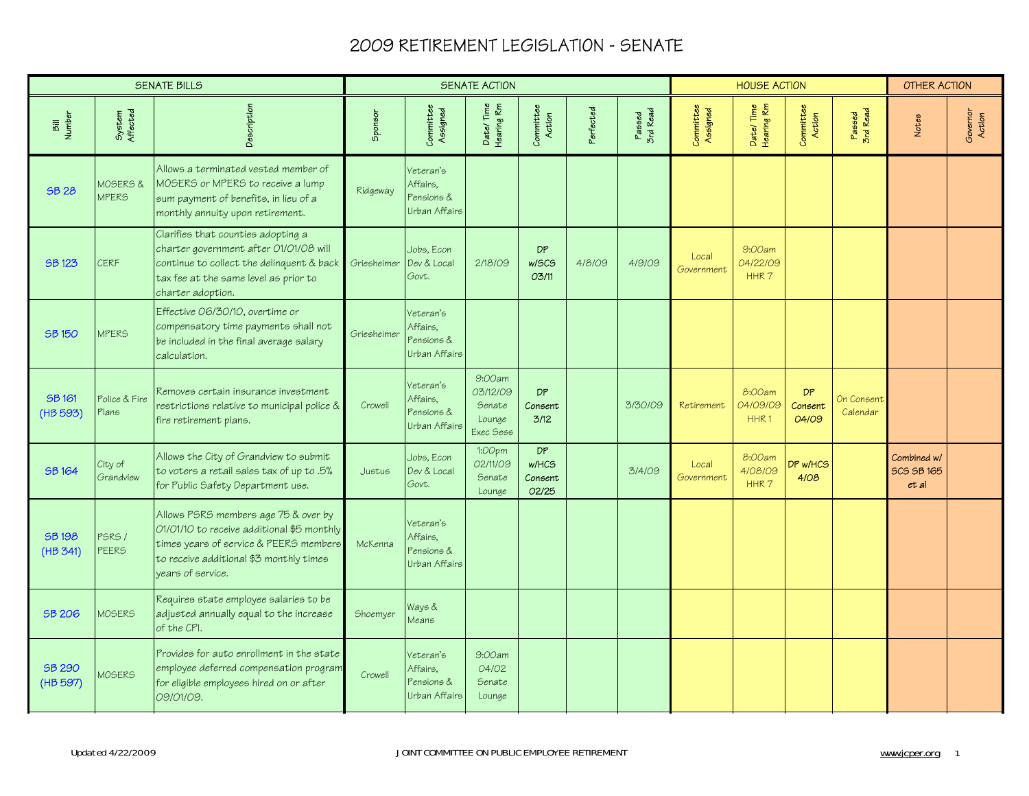|                          |                                     | <b>SENATE BILLS</b>                                                                                                                                                                          |             |                                                      | <b>SENATE ACTION</b>                                |                                        |           |                    |                       | <b>HOUSE ACTION</b>                    |                               |                        | <b>OTHER ACTION</b>                       |                    |
|--------------------------|-------------------------------------|----------------------------------------------------------------------------------------------------------------------------------------------------------------------------------------------|-------------|------------------------------------------------------|-----------------------------------------------------|----------------------------------------|-----------|--------------------|-----------------------|----------------------------------------|-------------------------------|------------------------|-------------------------------------------|--------------------|
| Bill<br>Number           | System<br>Affected                  | Description                                                                                                                                                                                  | Sponsor     | Committee<br>Assigned                                | Date/Time<br>Hearing Rm                             | Committee<br>Action                    | Perfected | Passed<br>3rd Read | Committee<br>Assigned | Date/Time<br>Hearing Rm                | Committee<br>Action           | Passed<br>3rd Read     | Notes                                     | Governor<br>Action |
| <b>SB 28</b>             | <b>MOSERS &amp;</b><br><b>MPERS</b> | Allows a terminated vested member of<br>MOSERS or MPERS to receive a lump<br>sum payment of benefits, in lieu of a<br>monthly annuity upon retirement.                                       | Ridgeway    | Veteran's<br>Affairs.<br>Pensions &<br>Urban Affairs |                                                     |                                        |           |                    |                       |                                        |                               |                        |                                           |                    |
| <b>SB123</b>             | <b>CERF</b>                         | Clarifies that counties adopting a<br>charter government after 01/01/08 will<br>continue to collect the delinquent & back<br>tax fee at the same level as prior to<br>charter adoption.      | Griesheimer | Jobs, Econ<br>Dev & Local<br>Govt.                   | 2/18/09                                             | <b>DP</b><br>w/SCS<br>03/11            | 4/8/09    | 4/9/09             | Local<br>Government   | 9:00am<br>04/22/09<br>HHR7             |                               |                        |                                           |                    |
| <b>SB150</b>             | <b>MPERS</b>                        | Effective 06/30/10, overtime or<br>compensatory time payments shall not<br>be included in the final average salary<br>calculation.                                                           | Griesheimer | Veteran's<br>Affairs.<br>Pensions &<br>Urban Affairs |                                                     |                                        |           |                    |                       |                                        |                               |                        |                                           |                    |
| SB 161<br>(HB 593)       | Police & Fire<br>Plans              | Removes certain insurance investment<br>restrictions relative to municipal police &<br>fire retirement plans.                                                                                | Crowell     | Veteran's<br>Affairs.<br>Pensions &<br>Urban Affairs | 9:00am<br>03/12/09<br>Senate<br>Lounge<br>Exec Sess | <b>DP</b><br>Consent<br>3/12           |           | 3/30/09            | Retirement            | 8:00am<br>04/09/09<br>HHR <sub>1</sub> | <b>DP</b><br>Consent<br>04/09 | On Consent<br>Calendar |                                           |                    |
| <b>SB164</b>             | City of<br>Grandview                | Allows the City of Grandview to submit<br>to voters a retail sales tax of up to .5%<br>for Public Safety Department use.                                                                     | Justus      | Jobs, Econ<br>Dev & Local<br>Govt.                   | 1:00pm<br>02/11/09<br>Senate<br>Lounge              | <b>DP</b><br>w/HCS<br>Consent<br>02/25 |           | 3/4/09             | Local<br>Government   | 8:00am<br>4/08/09<br>HHR <sub>7</sub>  | DP w/HCS<br>4/08              |                        | Combined w/<br><b>SCS SB 165</b><br>et al |                    |
| <b>SB198</b><br>(HB 341) | PSRS /<br><b>PEERS</b>              | Allows PSRS members age 75 & over by<br>01/01/10 to receive additional \$5 monthly<br>times years of service & PEERS members<br>to receive additional \$3 monthly times<br>years of service. | McKenna     | Veteran's<br>Affairs,<br>Pensions &<br>Urban Affairs |                                                     |                                        |           |                    |                       |                                        |                               |                        |                                           |                    |
| <b>SB 206</b>            | <b>MOSERS</b>                       | Requires state employee salaries to be<br>adjusted annually equal to the increase<br>of the CPI.                                                                                             | Shoemyer    | Ways &<br>Means                                      |                                                     |                                        |           |                    |                       |                                        |                               |                        |                                           |                    |
| SB 290<br>(HB 597)       | <b>MOSERS</b>                       | Provides for auto enrollment in the state<br>employee deferred compensation program<br>for eligible employees hired on or after<br>09/01/09.                                                 | Crowell     | Veteran's<br>Affairs,<br>Pensions &<br>Urban Affairs | 9:00am<br>04/02<br>Senate<br>Lounge                 |                                        |           |                    |                       |                                        |                               |                        |                                           |                    |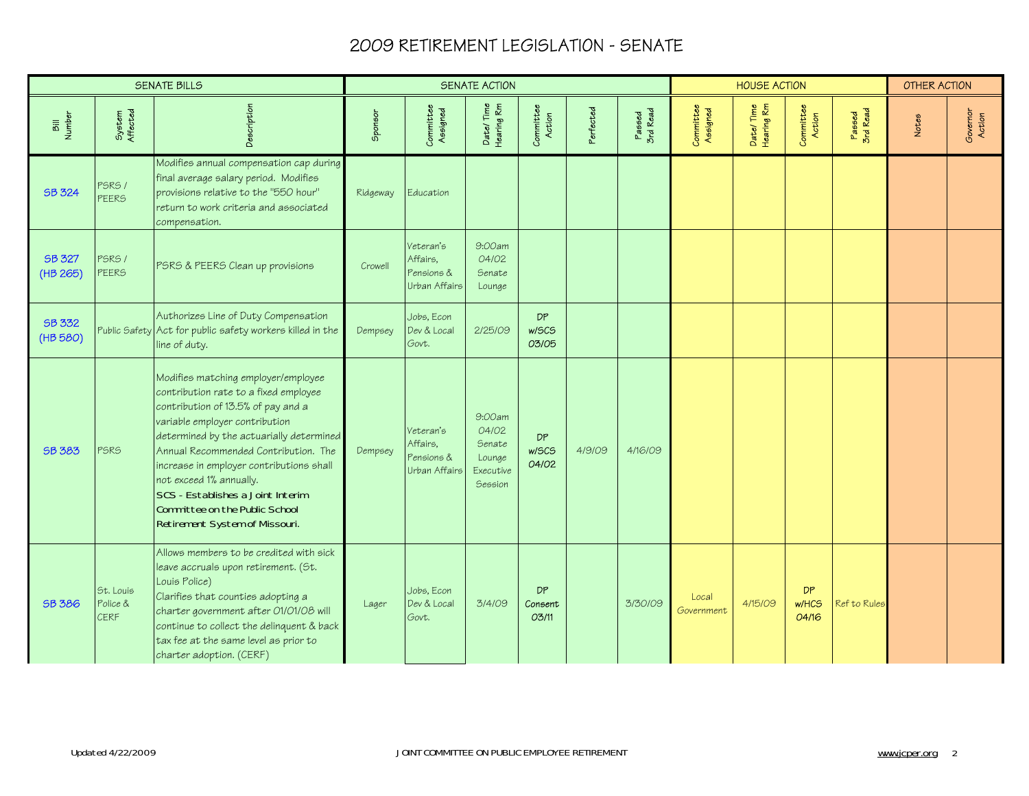|                           |                                      | <b>SENATE BILLS</b>                                                                                                                                                                                                                                                                                                                                                                                                      |          |                                                      | <b>SENATE ACTION</b>                                        |                             |           |                    |                       | <b>HOUSE ACTION</b>     |                      |                    | <b>OTHER ACTION</b> |                    |
|---------------------------|--------------------------------------|--------------------------------------------------------------------------------------------------------------------------------------------------------------------------------------------------------------------------------------------------------------------------------------------------------------------------------------------------------------------------------------------------------------------------|----------|------------------------------------------------------|-------------------------------------------------------------|-----------------------------|-----------|--------------------|-----------------------|-------------------------|----------------------|--------------------|---------------------|--------------------|
| Bill<br>Number            | System<br>Affected                   | Description                                                                                                                                                                                                                                                                                                                                                                                                              | Sponsor  | Committee<br>Assigned                                | Date/Time<br>Hearing Rm                                     | Committee<br>Action         | Perfected | Passed<br>3rd Read | Committee<br>Assigned | Date/Time<br>Hearing Rm | Committee<br>Action  | Passed<br>3rd Read | Notes               | Governor<br>Action |
| <b>SB 324</b>             | <b>PSRS /</b><br><b>PEERS</b>        | Modifies annual compensation cap during<br>final average salary period. Modifies<br>provisions relative to the "550 hour"<br>return to work criteria and associated<br>compensation.                                                                                                                                                                                                                                     | Ridgeway | Education                                            |                                                             |                             |           |                    |                       |                         |                      |                    |                     |                    |
| <b>SB 327</b><br>(HB 265) | PSRS /<br><b>PEERS</b>               | PSRS & PEERS Clean up provisions                                                                                                                                                                                                                                                                                                                                                                                         | Crowell  | Veteran's<br>Affairs,<br>Pensions &<br>Urban Affairs | 9:00am<br>04/02<br>Senate<br>Lounge                         |                             |           |                    |                       |                         |                      |                    |                     |                    |
| SB 332<br>(HB 580)        |                                      | Authorizes Line of Duty Compensation<br>Public Safety Act for public safety workers killed in the<br>line of duty.                                                                                                                                                                                                                                                                                                       | Dempsey  | Jobs, Econ<br>Dev & Local<br>Govt.                   | 2/25/09                                                     | <b>DP</b><br>w/SCS<br>03/05 |           |                    |                       |                         |                      |                    |                     |                    |
| <b>SB 383</b>             | PSRS                                 | Modifies matching employer/employee<br>contribution rate to a fixed employee<br>contribution of 13.5% of pay and a<br>variable employer contribution<br>determined by the actuarially determined<br>Annual Recommended Contribution. The<br>increase in employer contributions shall<br>not exceed 1% annually.<br>SCS - Establishes a Joint Interim<br>Committee on the Public School<br>Retirement System of Missouri. | Dempsey  | Veteran's<br>Affairs.<br>Pensions &<br>Urban Affairs | 9:00am<br>04/02<br>Senate<br>Lounge<br>Executive<br>Session | <b>DP</b><br>w/SCS<br>04/02 | 4/9/09    | 4/16/09            |                       |                         |                      |                    |                     |                    |
| <b>SB 386</b>             | St. Louis<br>Police &<br><b>CERF</b> | Allows members to be credited with sick<br>leave accruals upon retirement. (St.<br>Louis Police)<br>Clarifies that counties adopting a<br>charter government after 01/01/08 will<br>continue to collect the delinquent & back<br>tax fee at the same level as prior to<br>charter adoption. (CERF)                                                                                                                       | Lager    | Jobs, Econ<br>Dev & Local<br>Govt.                   | 3/4/09                                                      | DP<br>Consent<br>03/11      |           | 3/30/09            | Local<br>Government   | 4/15/09                 | DP<br>w/HCS<br>04/16 | Ref to Rules       |                     |                    |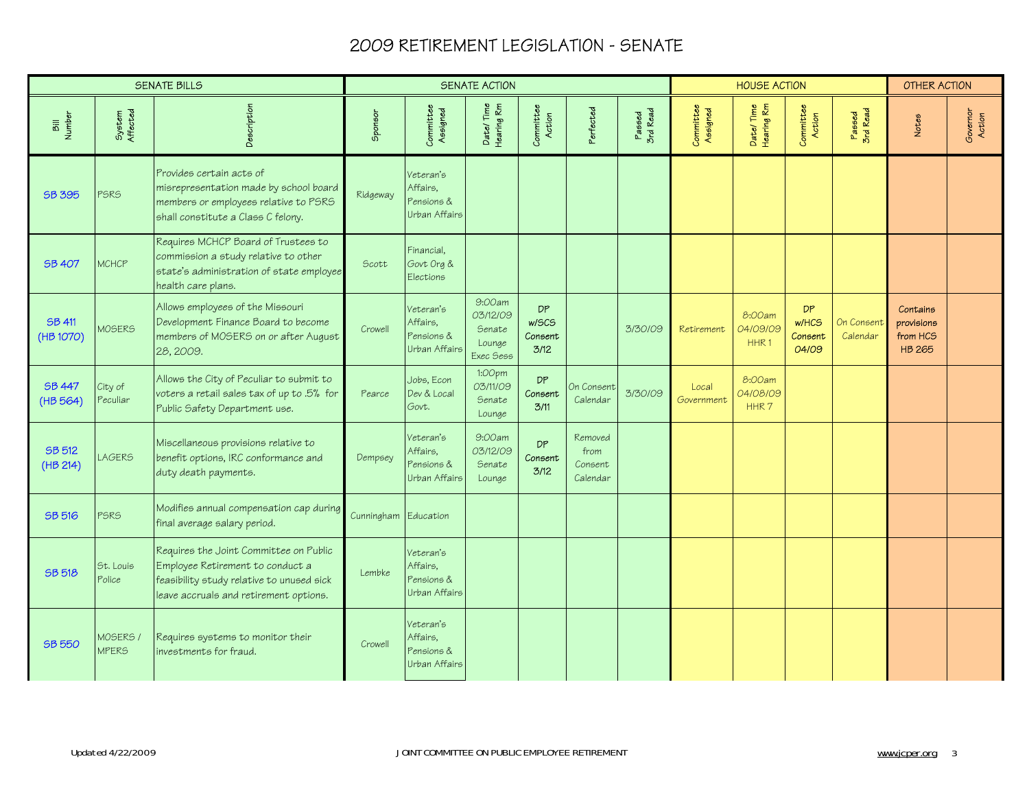|                            |                          | <b>SENATE BILLS</b>                                                                                                                                               |                      |                                                      | <b>SENATE ACTION</b>                                |                                |                                        |                    |                       | <b>HOUSE ACTION</b>        |                                               |                        | <b>OTHER ACTION</b>                                 |                    |
|----------------------------|--------------------------|-------------------------------------------------------------------------------------------------------------------------------------------------------------------|----------------------|------------------------------------------------------|-----------------------------------------------------|--------------------------------|----------------------------------------|--------------------|-----------------------|----------------------------|-----------------------------------------------|------------------------|-----------------------------------------------------|--------------------|
| Bill<br>Number             | System<br>Affected       | Description                                                                                                                                                       | Sponsor              | Committee<br>Assigned                                | Date/Time<br>Hearing Rm                             | Committee<br>Action            | Perfected                              | Passed<br>3rd Read | Committee<br>Assigned | Date/Time<br>Hearing Rm    | Committee<br>Action                           | Passed<br>3rd Read     | Notes                                               | Governor<br>Action |
| SB 395                     | <b>PSRS</b>              | Provides certain acts of<br>misrepresentation made by school board<br>members or employees relative to PSRS<br>shall constitute a Class C felony.                 | Ridgeway             | Veteran's<br>Affairs,<br>Pensions &<br>Urban Affairs |                                                     |                                |                                        |                    |                       |                            |                                               |                        |                                                     |                    |
| <b>SB 407</b>              | <b>MCHCP</b>             | Requires MCHCP Board of Trustees to<br>commission a study relative to other<br>state's administration of state employee<br>health care plans.                     | Scott                | Financial,<br>Govt Org &<br>Elections                |                                                     |                                |                                        |                    |                       |                            |                                               |                        |                                                     |                    |
| <b>SB 411</b><br>(HB 1070) | <b>MOSERS</b>            | Allows employees of the Missouri<br>Development Finance Board to become<br>members of MOSERS on or after August<br>28, 2009.                                      | Crowell              | Veteran's<br>Affairs.<br>Pensions &<br>Urban Affairs | 9:00am<br>03/12/09<br>Senate<br>Lounge<br>Exec Sess | DP<br>w/SCS<br>Consent<br>3/12 |                                        | 3/30/09            | Retirement            | 8:00am<br>04/09/09<br>HHR1 | <b>DP</b><br><b>w/HCS</b><br>Consent<br>04/09 | On Consent<br>Calendar | Contains<br>provisions<br>from HCS<br><b>HB 265</b> |                    |
| <b>SB 447</b><br>(HB 564)  | City of<br>Peculiar      | Allows the City of Peculiar to submit to<br>voters a retail sales tax of up to .5% for<br>Public Safety Department use.                                           | Pearce               | Jobs, Econ<br>Dev & Local<br>Govt.                   | 1:00pm<br>03/11/09<br>Senate<br>Lounge              | DP<br>Consent<br>3/11          | On Consent<br>Calendar                 | 3/30/09            | Local<br>Government   | 8:00am<br>04/08/09<br>HHR7 |                                               |                        |                                                     |                    |
| <b>SB 512</b><br>(HB 214)  | <b>LAGERS</b>            | Miscellaneous provisions relative to<br>benefit options, IRC conformance and<br>duty death payments.                                                              | Dempsey              | Veteran's<br>Affairs.<br>Pensions &<br>Urban Affairs | 9:00am<br>03/12/09<br>Senate<br>Lounge              | DP<br>Consent<br>3/12          | Removed<br>from<br>Consent<br>Calendar |                    |                       |                            |                                               |                        |                                                     |                    |
| <b>SB 516</b>              | <b>PSRS</b>              | Modifies annual compensation cap during<br>final average salary period.                                                                                           | Cunningham Education |                                                      |                                                     |                                |                                        |                    |                       |                            |                                               |                        |                                                     |                    |
| <b>SB 518</b>              | St. Louis<br>Police      | Requires the Joint Committee on Public<br>Employee Retirement to conduct a<br>feasibility study relative to unused sick<br>leave accruals and retirement options. | Lembke               | Veteran's<br>Affairs.<br>Pensions &<br>Urban Affairs |                                                     |                                |                                        |                    |                       |                            |                                               |                        |                                                     |                    |
| <b>SB 550</b>              | MOSERS /<br><b>MPERS</b> | Requires systems to monitor their<br>investments for fraud.                                                                                                       | Crowell              | Veteran's<br>Affairs,<br>Pensions &<br>Urban Affairs |                                                     |                                |                                        |                    |                       |                            |                                               |                        |                                                     |                    |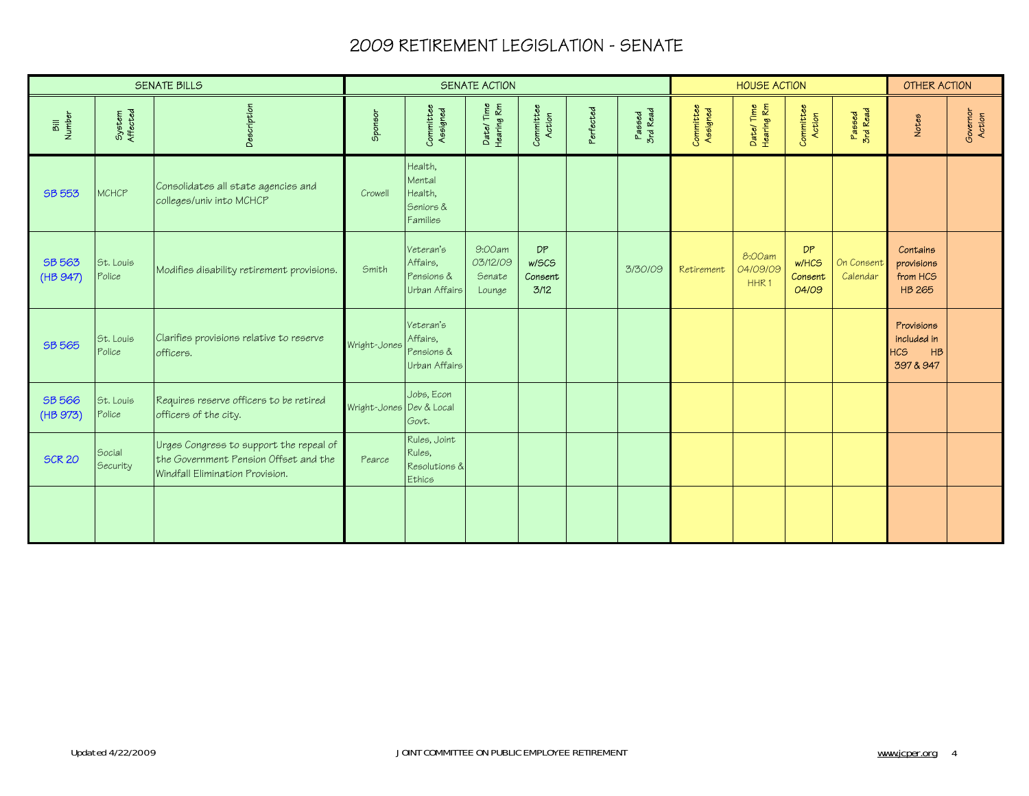|                                                |                     | <b>SENATE BILLS</b>                                                                                                 |                          |                                                       | <b>SENATE ACTION</b>                   |                                |           |                    |                       | <b>HOUSE ACTION</b>                    |                                 |                        | <b>OTHER ACTION</b>                                        |                    |
|------------------------------------------------|---------------------|---------------------------------------------------------------------------------------------------------------------|--------------------------|-------------------------------------------------------|----------------------------------------|--------------------------------|-----------|--------------------|-----------------------|----------------------------------------|---------------------------------|------------------------|------------------------------------------------------------|--------------------|
| <b>Number</b><br>$\overline{\overline{\bf 5}}$ | System<br>Affected  | Description                                                                                                         | Sponsor                  | Committee<br>Assigned                                 | Date/Time<br>Hearing Rm                | Committee<br>Action            | Perfected | Passed<br>3rd Read | Committee<br>Assigned | Date/Time<br>Hearing Rm                | Committee<br>Action             | Passed<br>3rd Read     | Notes                                                      | Governor<br>Action |
| SB 553                                         | MCHCP               | Consolidates all state agencies and<br>colleges/univ into MCHCP                                                     | Crowell                  | Health,<br>Mental<br>Health,<br>Seniors &<br>Families |                                        |                                |           |                    |                       |                                        |                                 |                        |                                                            |                    |
| SB 563<br>(HB 947)                             | St. Louis<br>Police | Modifies disability retirement provisions.                                                                          | Smith                    | Veteran's<br>Affairs,<br>Pensions &<br>Urban Affairs  | 9:00am<br>03/12/09<br>Senate<br>Lounge | DP<br>w/SCS<br>Consent<br>3/12 |           | 3/30/09            | Retirement            | 8:00am<br>04/09/09<br>HHR <sub>1</sub> | DP<br>w/HCS<br>Consent<br>04/09 | On Consent<br>Calendar | Contains<br>provisions<br>from HCS<br><b>HB 265</b>        |                    |
| SB 565                                         | St. Louis<br>Police | Clarifies provisions relative to reserve<br>officers.                                                               | Wright-Jones             | Veteran's<br>Affairs,<br>Pensions &<br>Urban Affairs  |                                        |                                |           |                    |                       |                                        |                                 |                        | Provisions<br>included in<br><b>HCS</b><br>HB<br>397 & 947 |                    |
| <b>SB 566</b><br>(HB 973)                      | St. Louis<br>Police | Requires reserve officers to be retired<br>officers of the city.                                                    | Wright-Jones Dev & Local | Jobs, Econ<br>Govt.                                   |                                        |                                |           |                    |                       |                                        |                                 |                        |                                                            |                    |
| <b>SCR 20</b>                                  | Social<br>Security  | Urges Congress to support the repeal of<br>the Government Pension Offset and the<br>Windfall Elimination Provision. | Pearce                   | Rules, Joint<br>Rules,<br>Resolutions &<br>Ethics     |                                        |                                |           |                    |                       |                                        |                                 |                        |                                                            |                    |
|                                                |                     |                                                                                                                     |                          |                                                       |                                        |                                |           |                    |                       |                                        |                                 |                        |                                                            |                    |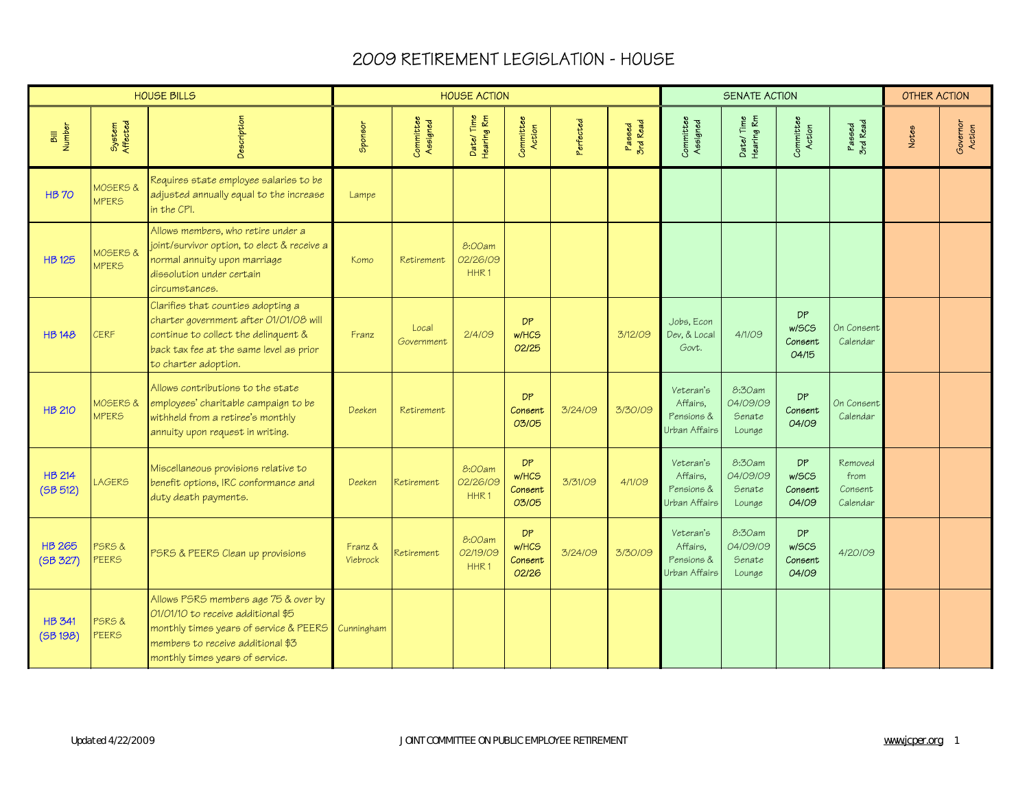|                           |                          | <b>HOUSE BILLS</b>                                                                                                                                                                           |                            |                       | <b>HOUSE ACTION</b>                    |                                        |           |                    |                                                      | <b>SENATE ACTION</b>                   |                                        |                                        | <b>OTHER ACTION</b> |                    |
|---------------------------|--------------------------|----------------------------------------------------------------------------------------------------------------------------------------------------------------------------------------------|----------------------------|-----------------------|----------------------------------------|----------------------------------------|-----------|--------------------|------------------------------------------------------|----------------------------------------|----------------------------------------|----------------------------------------|---------------------|--------------------|
| Bill<br>Number            | System<br>Affected       | Description                                                                                                                                                                                  | Sponsor                    | Committee<br>Assigned | Date/Time<br>Hearing Rm                | Committee<br>Action                    | Perfected | Passed<br>3rd Read | Committee<br>Assigned                                | Date/Time<br>Hearing Rm                | Committee<br>Action                    | Passed<br>3rd Read                     | Notes               | Governor<br>Action |
| <b>HB70</b>               | MOSERS &<br><b>MPERS</b> | Requires state employee salaries to be<br>adjusted annually equal to the increase<br>in the CPI.                                                                                             | Lampe                      |                       |                                        |                                        |           |                    |                                                      |                                        |                                        |                                        |                     |                    |
| <b>HB 125</b>             | MOSERS &<br><b>MPERS</b> | Allows members, who retire under a<br>joint/survivor option, to elect & receive a<br>normal annuity upon marriage<br>dissolution under certain<br>circumstances.                             | Komo                       | Retirement            | 8:00am<br>02/26/09<br>HHR <sub>1</sub> |                                        |           |                    |                                                      |                                        |                                        |                                        |                     |                    |
| <b>HB148</b>              | <b>CERF</b>              | Clarifies that counties adopting a<br>charter government after 01/01/08 will<br>continue to collect the delinquent &<br>back tax fee at the same level as prior<br>to charter adoption.      | Franz                      | Local<br>Government   | 2/4/09                                 | <b>DP</b><br>w/HCS<br>02/25            |           | 3/12/09            | Jobs, Econ<br>Dev, & Local<br>Govt.                  | 4/1/09                                 | <b>DP</b><br>w/SCS<br>Consent<br>04/15 | On Consent<br>Calendar                 |                     |                    |
| <b>HB 210</b>             | MOSERS &<br><b>MPERS</b> | Allows contributions to the state<br>employees' charitable campaign to be<br>withheld from a retiree's monthly<br>annuity upon request in writing.                                           | Deeken                     | Retirement            |                                        | <b>DP</b><br>Consent<br>03/05          | 3/24/09   | 3/30/09            | Veteran's<br>Affairs.<br>Pensions &<br>Urban Affairs | 8:30am<br>04/09/09<br>Senate<br>Lounge | DP<br>Consent<br>04/09                 | On Consent<br>Calendar                 |                     |                    |
| <b>HB 214</b><br>(5B 512) | <b>LAGERS</b>            | Miscellaneous provisions relative to<br>benefit options, IRC conformance and<br>duty death payments.                                                                                         | Deeken                     | Retirement            | 8:00am<br>02/26/09<br>HHR <sub>1</sub> | <b>DP</b><br>w/HCS<br>Consent<br>03/05 | 3/31/09   | 4/1/09             | Veteran's<br>Affairs,<br>Pensions &<br>Urban Affairs | 8:30am<br>04/09/09<br>Senate<br>Lounge | DP<br>w/SCS<br>Consent<br>04/09        | Removed<br>from<br>Consent<br>Calendar |                     |                    |
| <b>HB 265</b><br>(SB 327) | PSRS&<br><b>PEERS</b>    | PSRS & PEERS Clean up provisions                                                                                                                                                             | Franz &<br><b>Viebrock</b> | Retirement            | 8:00am<br>02/19/09<br>HHR1             | <b>DP</b><br>w/HCS<br>Consent<br>02/26 | 3/24/09   | 3/30/09            | Veteran's<br>Affairs,<br>Pensions &<br>Urban Affairs | 8:30am<br>04/09/09<br>Senate<br>Lounge | <b>DP</b><br>w/SCS<br>Consent<br>04/09 | 4/20/09                                |                     |                    |
| <b>HB 341</b><br>(5B198)  | PSRS&<br>PEERS           | Allows PSRS members age 75 & over by<br>01/01/10 to receive additional \$5<br>monthly times years of service & PEERS<br>members to receive additional \$3<br>monthly times years of service. | Cunningham                 |                       |                                        |                                        |           |                    |                                                      |                                        |                                        |                                        |                     |                    |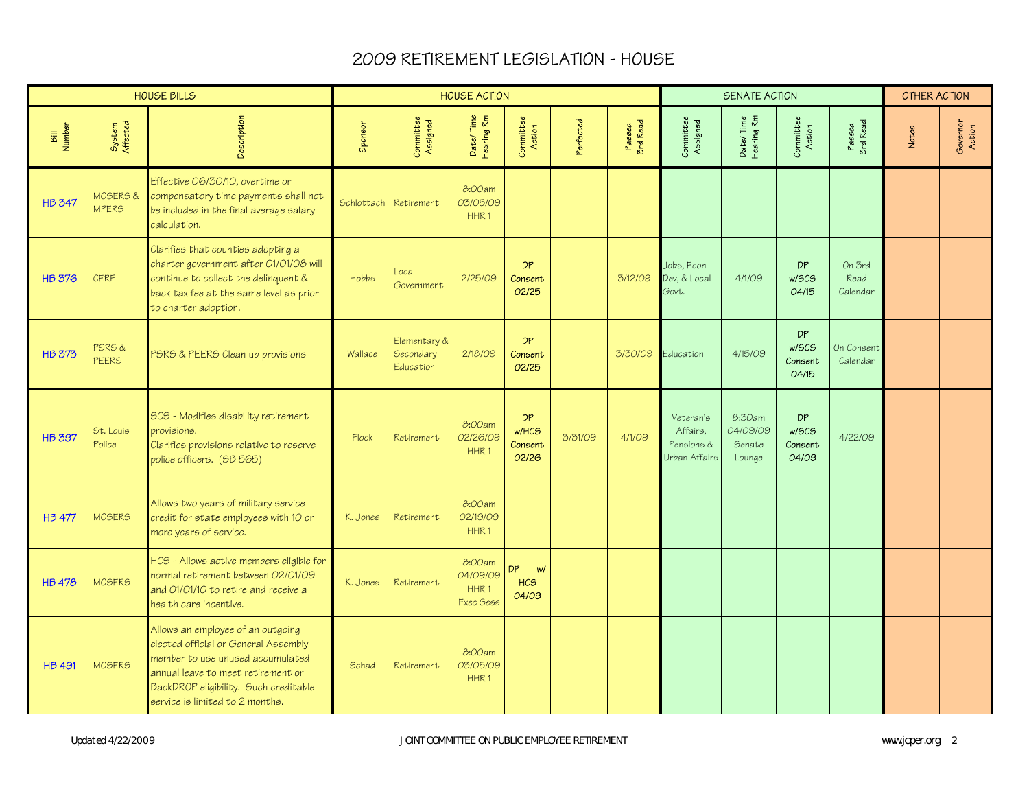|                |                          | <b>HOUSE BILLS</b>                                                                                                                                                                                                              |                       |                                        | <b>HOUSE ACTION</b>                                 |                                        |           |                    |                                                      | <b>SENATE ACTION</b>                   |                                        |                            | <b>OTHER ACTION</b> |                    |
|----------------|--------------------------|---------------------------------------------------------------------------------------------------------------------------------------------------------------------------------------------------------------------------------|-----------------------|----------------------------------------|-----------------------------------------------------|----------------------------------------|-----------|--------------------|------------------------------------------------------|----------------------------------------|----------------------------------------|----------------------------|---------------------|--------------------|
| Bill<br>Number | System<br>Affected       | Description                                                                                                                                                                                                                     | Sponsor               | Committee<br>Assigned                  | Date/Time<br>Hearing Rm                             | Committee<br>Action                    | Perfected | Passed<br>3rd Read | Committee<br>Assigned                                | Date/Time<br>Hearing Rm                | Committee<br>Action                    | Passed<br>3rd Read         | Notes               | Governor<br>Action |
| <b>HB 347</b>  | MOSERS &<br><b>MPERS</b> | Effective 06/30/10, overtime or<br>compensatory time payments shall not<br>be included in the final average salary<br>calculation.                                                                                              | Schlottach Retirement |                                        | 8:00am<br>03/05/09<br>HHR <sub>1</sub>              |                                        |           |                    |                                                      |                                        |                                        |                            |                     |                    |
| <b>HB 376</b>  | <b>CERF</b>              | Clarifies that counties adopting a<br>charter government after 01/01/08 will<br>continue to collect the delinquent &<br>back tax fee at the same level as prior<br>to charter adoption.                                         | Hobbs                 | Local<br>Government                    | 2/25/09                                             | DP.<br>Consent<br>02/25                |           | 3/12/09            | Jobs, Econ<br>Dev, & Local<br>Govt.                  | 4/1/09                                 | <b>DP</b><br>w/SCS<br>04/15            | On 3rd<br>Read<br>Calendar |                     |                    |
| <b>HB 373</b>  | PSRS&<br><b>PEERS</b>    | PSRS & PEERS Clean up provisions                                                                                                                                                                                                | Wallace               | Elementary &<br>Secondary<br>Education | 2/18/09                                             | <b>DP</b><br>Consent<br>02/25          |           | 3/30/09            | Education                                            | 4/15/09                                | <b>DP</b><br>w/SCS<br>Consent<br>04/15 | On Consent<br>Calendar     |                     |                    |
| <b>HB 397</b>  | St. Louis<br>Police      | SCS - Modifies disability retirement<br>provisions.<br>Clarifies provisions relative to reserve<br>police officers. (SB 565)                                                                                                    | Flook                 | Retirement                             | 8:00am<br>02/26/09<br>HHR <sub>1</sub>              | <b>DP</b><br>w/HCS<br>Consent<br>02/26 | 3/31/09   | 4/1/09             | Veteran's<br>Affairs.<br>Pensions &<br>Urban Affairs | 8:30am<br>04/09/09<br>Senate<br>Lounge | <b>DP</b><br>w/SCS<br>Consent<br>04/09 | 4/22/09                    |                     |                    |
| <b>HB 477</b>  | MOSERS                   | Allows two years of military service<br>credit for state employees with 10 or<br>more years of service.                                                                                                                         | K. Jones              | Retirement                             | 8:00am<br>02/19/09<br>HHR <sub>1</sub>              |                                        |           |                    |                                                      |                                        |                                        |                            |                     |                    |
| <b>HB 478</b>  | <b>MOSERS</b>            | HCS - Allows active members eligible for<br>normal retirement between 02/01/09<br>and 01/01/10 to retire and receive a<br>health care incentive.                                                                                | K. Jones              | Retirement                             | 8:00am<br>04/09/09<br>HHR <sub>1</sub><br>Exec Sess | DP.<br>w<br>HC <sub>S</sub><br>04/09   |           |                    |                                                      |                                        |                                        |                            |                     |                    |
| <b>HB 491</b>  | <b>MOSERS</b>            | Allows an employee of an outgoing<br>elected official or General Assembly<br>member to use unused accumulated<br>annual leave to meet retirement or<br>BackDROP eligibility. Such creditable<br>service is limited to 2 months. | Schad                 | Retirement                             | 8:00am<br>03/05/09<br>HHR1                          |                                        |           |                    |                                                      |                                        |                                        |                            |                     |                    |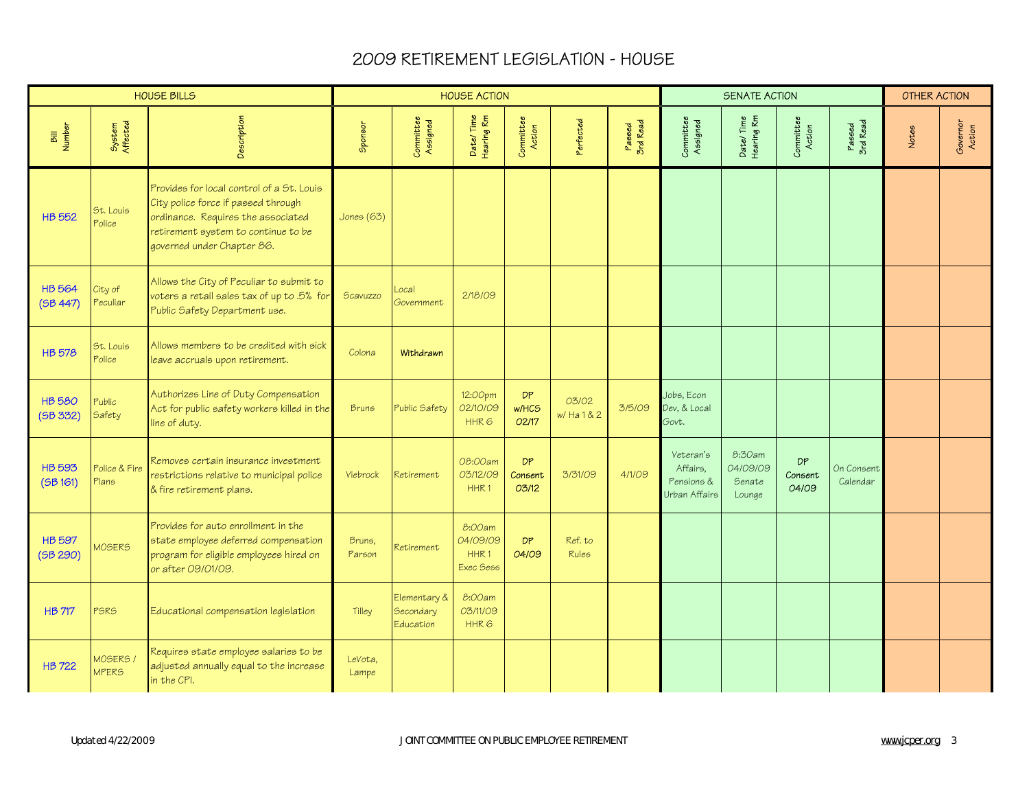|                           |                         | <b>HOUSE BILLS</b>                                                                                                                                                                          |                  |                                        | <b>HOUSE ACTION</b>                     |                               |                      |                    |                                                      | SENATE ACTION                          |                        |                        | <b>OTHER ACTION</b> |                    |
|---------------------------|-------------------------|---------------------------------------------------------------------------------------------------------------------------------------------------------------------------------------------|------------------|----------------------------------------|-----------------------------------------|-------------------------------|----------------------|--------------------|------------------------------------------------------|----------------------------------------|------------------------|------------------------|---------------------|--------------------|
| Bill<br>Number            | System<br>Affected      | Description                                                                                                                                                                                 | Sponsor          | Committee<br>Assigned                  | Date/Time<br>Hearing Rm                 | Committee<br>Action           | Perfected            | Passed<br>3rd Read | Committee<br>Assigned                                | Date/Time<br>Hearing Rm                | Committee<br>Action    | Passed<br>3rd Read     | Notes               | Governor<br>Action |
| <b>HB 552</b>             | St. Louis<br>Police     | Provides for local control of a St. Louis<br>City police force if passed through<br>ordinance. Requires the associated<br>retirement system to continue to be<br>governed under Chapter 86. | Jones (63)       |                                        |                                         |                               |                      |                    |                                                      |                                        |                        |                        |                     |                    |
| <b>HB564</b><br>(5B 447)  | City of<br>Peculiar     | Allows the City of Peculiar to submit to<br>voters a retail sales tax of up to .5% for<br>Public Safety Department use.                                                                     | Scavuzzo         | .ocal<br>Government                    | 2/18/09                                 |                               |                      |                    |                                                      |                                        |                        |                        |                     |                    |
| <b>HB 578</b>             | St. Louis<br>Police     | Allows members to be credited with sick<br>leave accruals upon retirement.                                                                                                                  | Colona           | <b>Withdrawn</b>                       |                                         |                               |                      |                    |                                                      |                                        |                        |                        |                     |                    |
| <b>HB 580</b><br>(5B 332) | Public<br>Safety        | Authorizes Line of Duty Compensation<br>Act for public safety workers killed in the<br>line of duty.                                                                                        | <b>Bruns</b>     | Public Safety                          | 12:00pm<br>02/10/09<br>HHR6             | <b>DP</b><br>w/HCS<br>02/17   | 03/02<br>w/ Ha 1 & 2 | 3/5/09             | Jobs, Econ<br>Dev, & Local<br>Govt.                  |                                        |                        |                        |                     |                    |
| <b>HB 593</b><br>(5B 161) | Police & Fire<br>Plans  | Removes certain insurance investment<br>restrictions relative to municipal police<br>& fire retirement plans.                                                                               | <b>Viebrock</b>  | Retirement                             | 08:00am<br>03/12/09<br>HHR1             | <b>DP</b><br>Consent<br>03/12 | 3/31/09              | 4/1/09             | Veteran's<br>Affairs,<br>Pensions &<br>Urban Affairs | 8:30am<br>04/09/09<br>Senate<br>Lounge | DP<br>Consent<br>04/09 | On Consent<br>Calendar |                     |                    |
| <b>HB 597</b><br>(5B 290) | <b>MOSERS</b>           | Provides for auto enrollment in the<br>state employee deferred compensation<br>program for eligible employees hired on<br>or after 09/01/09.                                                | Bruns,<br>Parson | Retirement                             | 8:00am<br>04/09/09<br>HHR1<br>Exec Sess | <b>DP</b><br>04/09            | Ref.to<br>Rules      |                    |                                                      |                                        |                        |                        |                     |                    |
| <b>HB 717</b>             | <b>PSRS</b>             | Educational compensation legislation                                                                                                                                                        | Tilley           | Elementary &<br>Secondary<br>Education | 8:00am<br>03/11/09<br>HHR <sub>6</sub>  |                               |                      |                    |                                                      |                                        |                        |                        |                     |                    |
| <b>HB 722</b>             | MOSERS.<br><b>MPERS</b> | Requires state employee salaries to be<br>adjusted annually equal to the increase<br>in the CPI.                                                                                            | LeVota,<br>Lampe |                                        |                                         |                               |                      |                    |                                                      |                                        |                        |                        |                     |                    |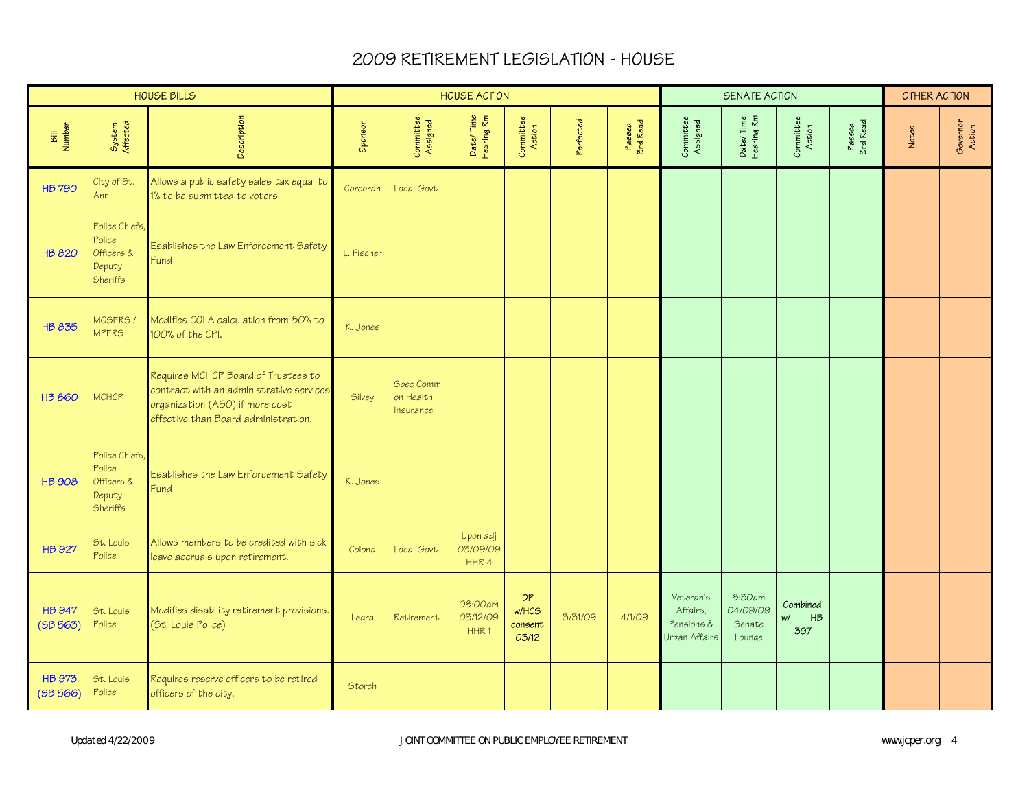|                           |                                                                     | <b>HOUSE BILLS</b>                                                                                                                                         |            |                                    | <b>HOUSE ACTION</b>                     |                                        |           |                    |                                                      | SENATE ACTION                          |                                                |                    | <b>OTHER ACTION</b> |                    |
|---------------------------|---------------------------------------------------------------------|------------------------------------------------------------------------------------------------------------------------------------------------------------|------------|------------------------------------|-----------------------------------------|----------------------------------------|-----------|--------------------|------------------------------------------------------|----------------------------------------|------------------------------------------------|--------------------|---------------------|--------------------|
| Bill<br>Number            | System<br>Affected                                                  | Description                                                                                                                                                | Sponsor    | Committee<br>Assigned              | Date/Time<br>Hearing Rm                 | Committee<br>Action                    | Perfected | Passed<br>3rd Read | Committee<br>Assigned                                | Date/Time<br>Hearing Rm                | Committee<br>Action                            | Passed<br>3rd Read | Notes               | Governor<br>Action |
| <b>HB 790</b>             | City of St.<br>Ann                                                  | Allows a public safety sales tax equal to<br>1% to be submitted to voters                                                                                  | Corcoran   | Local Govt                         |                                         |                                        |           |                    |                                                      |                                        |                                                |                    |                     |                    |
| <b>HB 820</b>             | Police Chiefs,<br>Police<br>Officers &<br>Deputy<br><b>Sheriffs</b> | Esablishes the Law Enforcement Safety<br>Fund                                                                                                              | L. Fischer |                                    |                                         |                                        |           |                    |                                                      |                                        |                                                |                    |                     |                    |
| <b>HB 835</b>             | MOSERS /<br><b>MPERS</b>                                            | Modifies COLA calculation from 80% to<br>100% of the CPI.                                                                                                  | K. Jones   |                                    |                                         |                                        |           |                    |                                                      |                                        |                                                |                    |                     |                    |
| <b>HB 860</b>             | <b>MCHCP</b>                                                        | Requires MCHCP Board of Trustees to<br>contract with an administrative services<br>organization (ASO) if more cost<br>effective than Board administration. | Silvey     | Spec Comm<br>on Health<br>nsurance |                                         |                                        |           |                    |                                                      |                                        |                                                |                    |                     |                    |
| <b>HB 908</b>             | Police Chiefs,<br>Police<br>Officers &<br>Deputy<br><b>Sheriffs</b> | Esablishes the Law Enforcement Safety<br>Fund                                                                                                              | K. Jones   |                                    |                                         |                                        |           |                    |                                                      |                                        |                                                |                    |                     |                    |
| <b>HB 927</b>             | St. Louis<br>Police                                                 | Allows members to be credited with sick<br>leave accruals upon retirement.                                                                                 | Colona     | Local Govt                         | Upon adj<br>03/09/09<br>HHR4            |                                        |           |                    |                                                      |                                        |                                                |                    |                     |                    |
| <b>HB 947</b><br>(5B 563) | St. Louis<br>Police                                                 | Modifies disability retirement provisions.<br>(St. Louis Police)                                                                                           | Leara      | Retirement                         | 08:00am<br>03/12/09<br>HHR <sub>1</sub> | <b>DP</b><br>w/HCS<br>consent<br>03/12 | 3/31/09   | 4/1/09             | Veteran's<br>Affairs,<br>Pensions &<br>Urban Affairs | 8:30am<br>04/09/09<br>Senate<br>Lounge | Combined<br>$W\left($<br>$H\mathcal{B}$<br>397 |                    |                     |                    |
| <b>HB 973</b><br>(5B 566) | St. Louis<br>Police                                                 | Requires reserve officers to be retired<br>officers of the city.                                                                                           | Storch     |                                    |                                         |                                        |           |                    |                                                      |                                        |                                                |                    |                     |                    |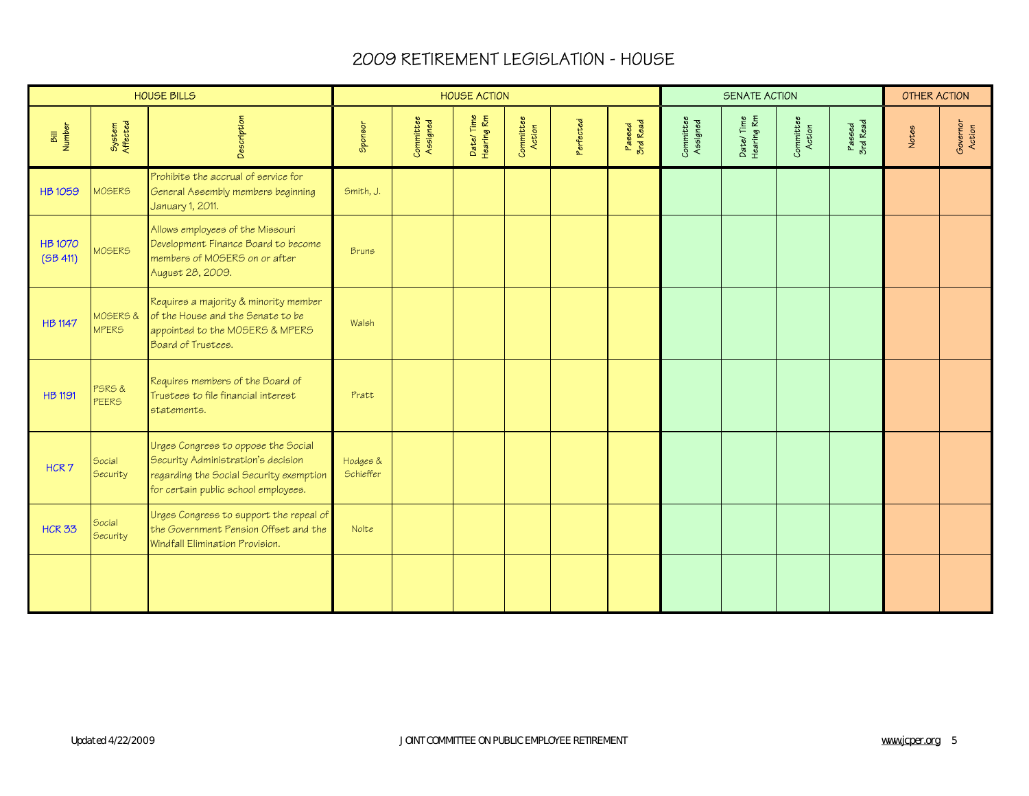|                           |                           | <b>HOUSE BILLS</b>                                                                                                                                           |                       |                       | <b>HOUSE ACTION</b>     |                     |           |                    |                       | SENATE ACTION           |                     |                    | <b>OTHER ACTION</b> |                    |
|---------------------------|---------------------------|--------------------------------------------------------------------------------------------------------------------------------------------------------------|-----------------------|-----------------------|-------------------------|---------------------|-----------|--------------------|-----------------------|-------------------------|---------------------|--------------------|---------------------|--------------------|
| Bill<br>Number            | System<br>Affected        | Description                                                                                                                                                  | Sponsor               | Committee<br>Assigned | Date/Time<br>Hearing Rm | Committee<br>Action | Perfected | Passed<br>3rd Read | Committee<br>Assigned | Date/Time<br>Hearing Rm | Committee<br>Action | Passed<br>3rd Read | Notes               | Governor<br>Action |
| <b>HB1059</b>             | <b>MOSERS</b>             | Prohibits the accrual of service for<br>General Assembly members beginning<br>January 1, 2011.                                                               | Smith, J.             |                       |                         |                     |           |                    |                       |                         |                     |                    |                     |                    |
| <b>HB1070</b><br>(5B 411) | <b>MOSERS</b>             | Allows employees of the Missouri<br>Development Finance Board to become<br>members of MOSERS on or after<br>August 28, 2009.                                 | <b>Bruns</b>          |                       |                         |                     |           |                    |                       |                         |                     |                    |                     |                    |
| <b>HB 1147</b>            | MOSERS &<br><b>MPERS</b>  | Requires a majority & minority member<br>of the House and the Senate to be<br>appointed to the MOSERS & MPERS<br>Board of Trustees.                          | Walsh                 |                       |                         |                     |           |                    |                       |                         |                     |                    |                     |                    |
| <b>HB 1191</b>            | PSRS&<br><b>PEERS</b>     | Requires members of the Board of<br>Trustees to file financial interest<br>statements.                                                                       | Pratt                 |                       |                         |                     |           |                    |                       |                         |                     |                    |                     |                    |
| HCR7                      | Social<br><b>Security</b> | Urges Congress to oppose the Social<br>Security Administration's decision<br>regarding the Social Security exemption<br>for certain public school employees. | Hodges &<br>Schieffer |                       |                         |                     |           |                    |                       |                         |                     |                    |                     |                    |
| <b>HCR 33</b>             | Social<br><b>Security</b> | Urges Congress to support the repeal of<br>the Government Pension Offset and the<br>Windfall Elimination Provision.                                          | Nolte                 |                       |                         |                     |           |                    |                       |                         |                     |                    |                     |                    |
|                           |                           |                                                                                                                                                              |                       |                       |                         |                     |           |                    |                       |                         |                     |                    |                     |                    |